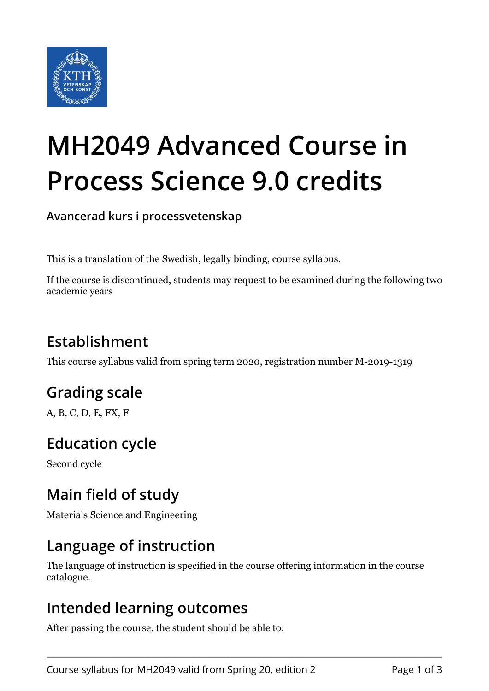

# **MH2049 Advanced Course in Process Science 9.0 credits**

**Avancerad kurs i processvetenskap**

This is a translation of the Swedish, legally binding, course syllabus.

If the course is discontinued, students may request to be examined during the following two academic years

# **Establishment**

This course syllabus valid from spring term 2020, registration number M-2019-1319

# **Grading scale**

A, B, C, D, E, FX, F

## **Education cycle**

Second cycle

## **Main field of study**

Materials Science and Engineering

#### **Language of instruction**

The language of instruction is specified in the course offering information in the course catalogue.

#### **Intended learning outcomes**

After passing the course, the student should be able to: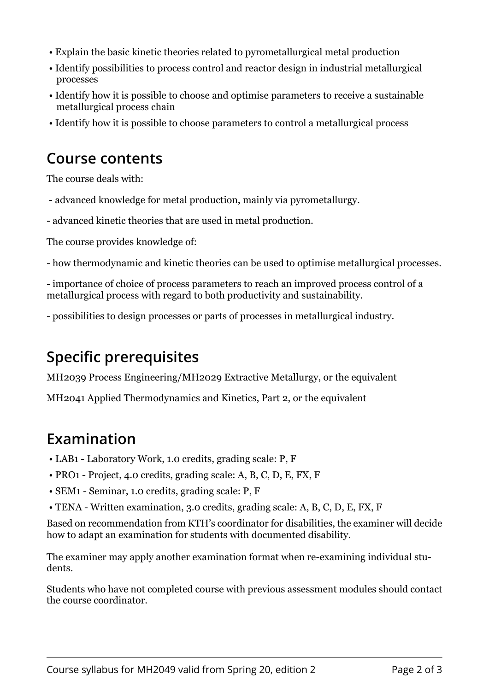- Explain the basic kinetic theories related to pyrometallurgical metal production
- Identify possibilities to process control and reactor design in industrial metallurgical processes
- Identify how it is possible to choose and optimise parameters to receive a sustainable metallurgical process chain
- Identify how it is possible to choose parameters to control a metallurgical process

### **Course contents**

The course deals with:

- advanced knowledge for metal production, mainly via pyrometallurgy.
- advanced kinetic theories that are used in metal production.

The course provides knowledge of:

- how thermodynamic and kinetic theories can be used to optimise metallurgical processes.

- importance of choice of process parameters to reach an improved process control of a metallurgical process with regard to both productivity and sustainability.

- possibilities to design processes or parts of processes in metallurgical industry.

## **Specific prerequisites**

MH2039 Process Engineering/MH2029 Extractive Metallurgy, or the equivalent

MH2041 Applied Thermodynamics and Kinetics, Part 2, or the equivalent

#### **Examination**

- LAB1 Laboratory Work, 1.0 credits, grading scale: P, F
- PRO1 Project, 4.0 credits, grading scale: A, B, C, D, E, FX, F
- SEM1 Seminar, 1.0 credits, grading scale: P, F
- TENA Written examination, 3.0 credits, grading scale: A, B, C, D, E, FX, F

Based on recommendation from KTH's coordinator for disabilities, the examiner will decide how to adapt an examination for students with documented disability.

The examiner may apply another examination format when re-examining individual students.

Students who have not completed course with previous assessment modules should contact the course coordinator.